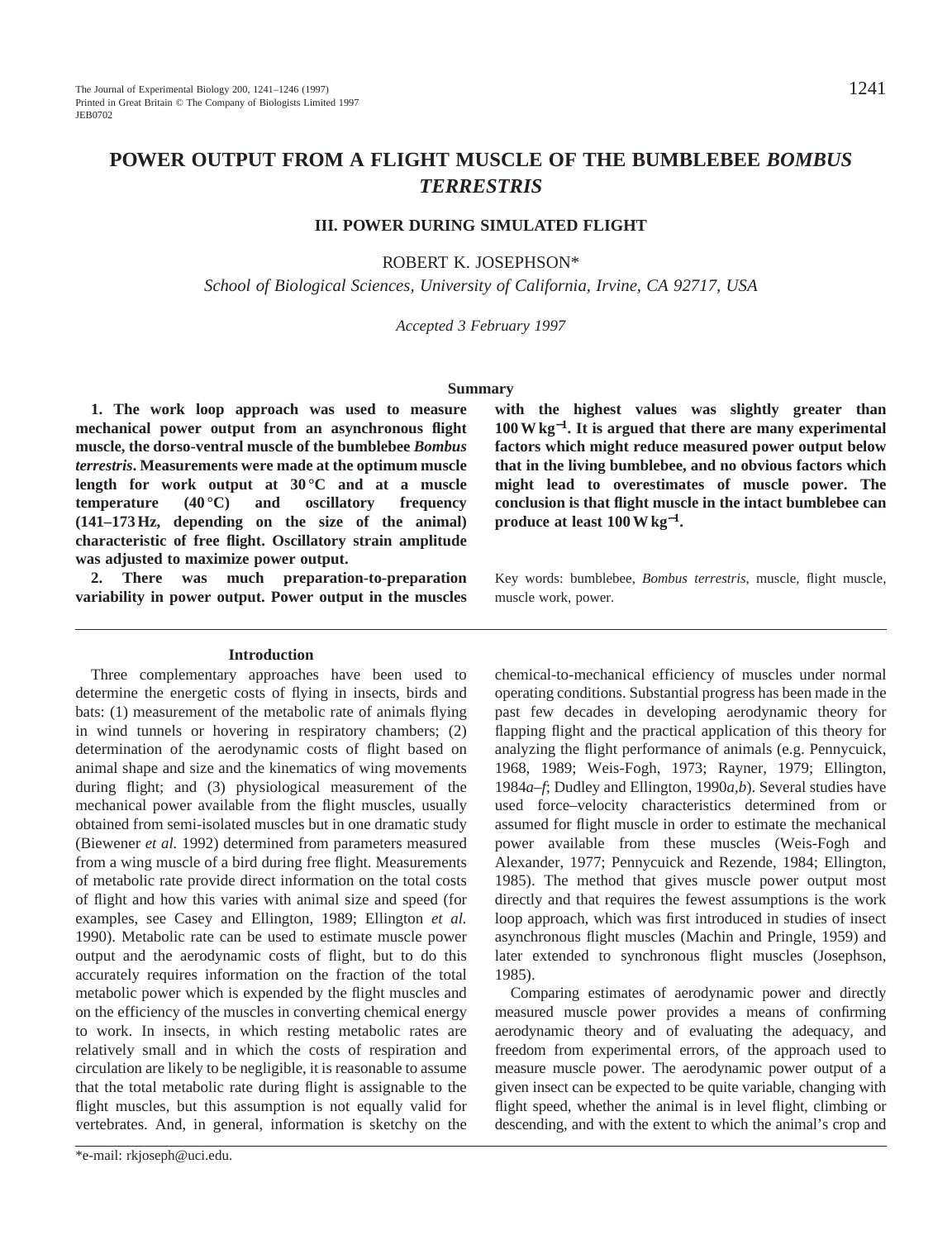# **POWER OUTPUT FROM A FLIGHT MUSCLE OF THE BUMBLEBEE** *BOMBUS TERRESTRIS*

# **III. POWER DURING SIMULATED FLIGHT**

## ROBERT K. JOSEPHSON\*

*School of Biological Sciences, University of California, Irvine, CA 92717, USA*

*Accepted 3 February 1997*

### **Summary**

**1. The work loop approach was used to measure mechanical power output from an asynchronous flight muscle, the dorso-ventral muscle of the bumblebee** *Bombus terrestris***. Measurements were made at the optimum muscle length for work output at 30 °C and at a muscle temperature (40 °C) and oscillatory frequency (141–173 Hz, depending on the size of the animal) characteristic of free flight. Oscillatory strain amplitude was adjusted to maximize power output.**

**2. There was much preparation-to-preparation variability in power output. Power output in the muscles**

### **Introduction**

Three complementary approaches have been used to determine the energetic costs of flying in insects, birds and bats: (1) measurement of the metabolic rate of animals flying in wind tunnels or hovering in respiratory chambers; (2) determination of the aerodynamic costs of flight based on animal shape and size and the kinematics of wing movements during flight; and (3) physiological measurement of the mechanical power available from the flight muscles, usually obtained from semi-isolated muscles but in one dramatic study (Biewener *et al.* 1992) determined from parameters measured from a wing muscle of a bird during free flight. Measurements of metabolic rate provide direct information on the total costs of flight and how this varies with animal size and speed (for examples, see Casey and Ellington, 1989; Ellington *et al.* 1990). Metabolic rate can be used to estimate muscle power output and the aerodynamic costs of flight, but to do this accurately requires information on the fraction of the total metabolic power which is expended by the flight muscles and on the efficiency of the muscles in converting chemical energy to work. In insects, in which resting metabolic rates are relatively small and in which the costs of respiration and circulation are likely to be negligible, it is reasonable to assume that the total metabolic rate during flight is assignable to the flight muscles, but this assumption is not equally valid for vertebrates. And, in general, information is sketchy on the

**with the highest values was slightly greater than 100 W kg**<sup>−</sup>**1. It is argued that there are many experimental factors which might reduce measured power output below that in the living bumblebee, and no obvious factors which might lead to overestimates of muscle power. The conclusion is that flight muscle in the intact bumblebee can produce at least 100 W kg**<sup>−</sup>**1.**

Key words: bumblebee, *Bombus terrestris*, muscle, flight muscle, muscle work, power.

chemical-to-mechanical efficiency of muscles under normal operating conditions. Substantial progress has been made in the past few decades in developing aerodynamic theory for flapping flight and the practical application of this theory for analyzing the flight performance of animals (e.g. Pennycuick, 1968, 1989; Weis-Fogh, 1973; Rayner, 1979; Ellington, 1984*a*–*f*; Dudley and Ellington, 1990*a*,*b*). Several studies have used force–velocity characteristics determined from or assumed for flight muscle in order to estimate the mechanical power available from these muscles (Weis-Fogh and Alexander, 1977; Pennycuick and Rezende, 1984; Ellington, 1985). The method that gives muscle power output most directly and that requires the fewest assumptions is the work loop approach, which was first introduced in studies of insect asynchronous flight muscles (Machin and Pringle, 1959) and later extended to synchronous flight muscles (Josephson, 1985).

Comparing estimates of aerodynamic power and directly measured muscle power provides a means of confirming aerodynamic theory and of evaluating the adequacy, and freedom from experimental errors, of the approach used to measure muscle power. The aerodynamic power output of a given insect can be expected to be quite variable, changing with flight speed, whether the animal is in level flight, climbing or descending, and with the extent to which the animal's crop and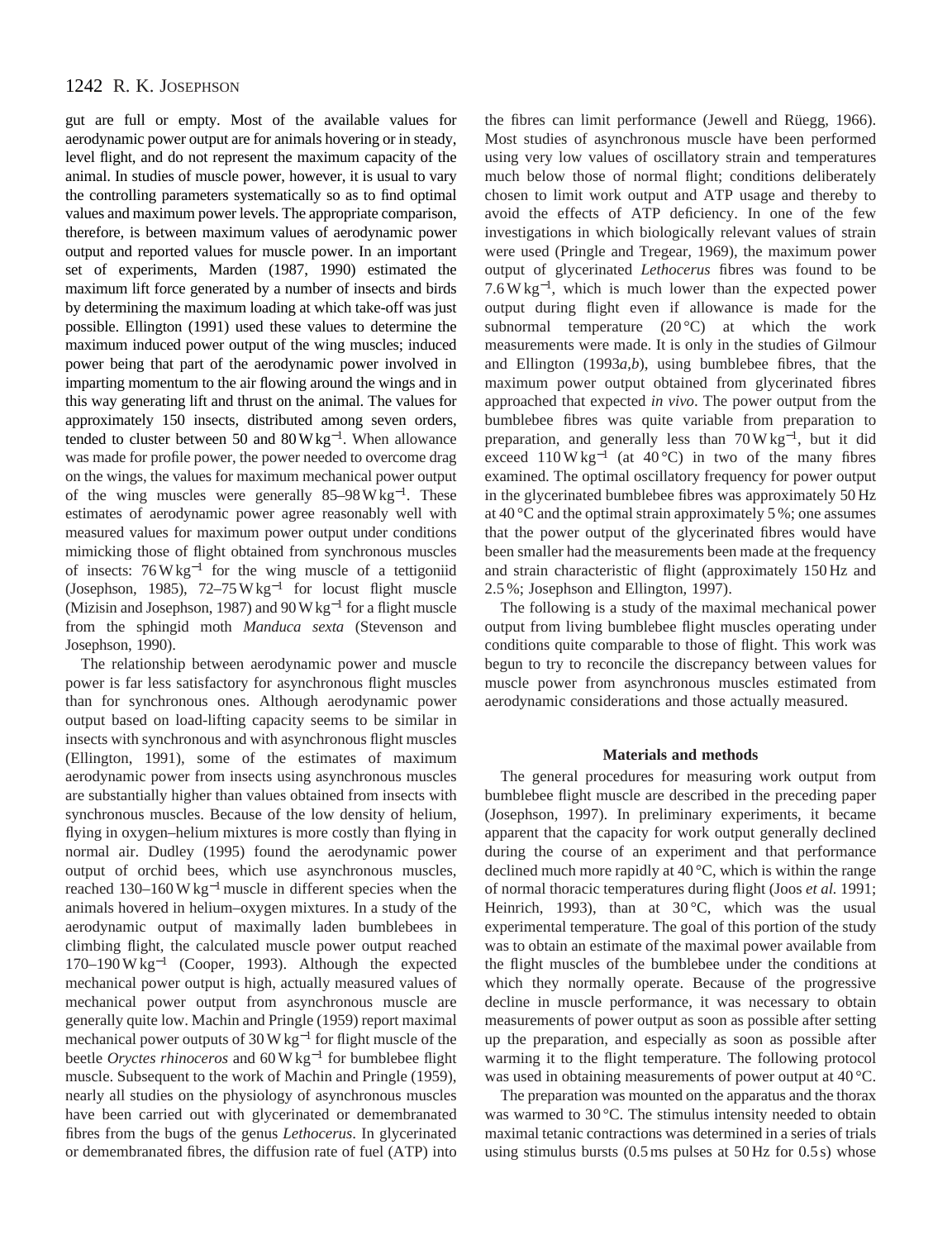# 1242 R. K. JOSEPHSON

gut are full or empty. Most of the available values for aerodynamic power output are for animals hovering or in steady, level flight, and do not represent the maximum capacity of the animal. In studies of muscle power, however, it is usual to vary the controlling parameters systematically so as to find optimal values and maximum power levels. The appropriate comparison, therefore, is between maximum values of aerodynamic power output and reported values for muscle power. In an important set of experiments, Marden (1987, 1990) estimated the maximum lift force generated by a number of insects and birds by determining the maximum loading at which take-off was just possible. Ellington (1991) used these values to determine the maximum induced power output of the wing muscles; induced power being that part of the aerodynamic power involved in imparting momentum to the air flowing around the wings and in this way generating lift and thrust on the animal. The values for approximately 150 insects, distributed among seven orders, tended to cluster between 50 and 80Wkg<sup>−</sup>1. When allowance was made for profile power, the power needed to overcome drag on the wings, the values for maximum mechanical power output of the wing muscles were generally  $85-98 \text{ W kg}^{-1}$ . These estimates of aerodynamic power agree reasonably well with measured values for maximum power output under conditions mimicking those of flight obtained from synchronous muscles of insects: 76Wkg−<sup>1</sup> for the wing muscle of a tettigoniid (Josephson, 1985), 72–75Wkg−<sup>1</sup> for locust flight muscle (Mizisin and Josephson, 1987) and 90Wkg−<sup>1</sup> for a flight muscle from the sphingid moth *Manduca sexta* (Stevenson and Josephson, 1990).

The relationship between aerodynamic power and muscle power is far less satisfactory for asynchronous flight muscles than for synchronous ones. Although aerodynamic power output based on load-lifting capacity seems to be similar in insects with synchronous and with asynchronous flight muscles (Ellington, 1991), some of the estimates of maximum aerodynamic power from insects using asynchronous muscles are substantially higher than values obtained from insects with synchronous muscles. Because of the low density of helium, flying in oxygen–helium mixtures is more costly than flying in normal air. Dudley (1995) found the aerodynamic power output of orchid bees, which use asynchronous muscles, reached 130–160 W kg<sup>-1</sup> muscle in different species when the animals hovered in helium–oxygen mixtures. In a study of the aerodynamic output of maximally laden bumblebees in climbing flight, the calculated muscle power output reached 170–190Wkg−<sup>1</sup> (Cooper, 1993). Although the expected mechanical power output is high, actually measured values of mechanical power output from asynchronous muscle are generally quite low. Machin and Pringle (1959) report maximal mechanical power outputs of 30Wkg−<sup>1</sup> for flight muscle of the beetle *Oryctes rhinoceros* and 60Wkg−<sup>1</sup> for bumblebee flight muscle. Subsequent to the work of Machin and Pringle (1959), nearly all studies on the physiology of asynchronous muscles have been carried out with glycerinated or demembranated fibres from the bugs of the genus *Lethocerus*. In glycerinated or demembranated fibres, the diffusion rate of fuel (ATP) into

the fibres can limit performance (Jewell and Rüegg, 1966). Most studies of asynchronous muscle have been performed using very low values of oscillatory strain and temperatures much below those of normal flight; conditions deliberately chosen to limit work output and ATP usage and thereby to avoid the effects of ATP deficiency. In one of the few investigations in which biologically relevant values of strain were used (Pringle and Tregear, 1969), the maximum power output of glycerinated *Lethocerus* fibres was found to be 7.6Wkg<sup>−</sup>1, which is much lower than the expected power output during flight even if allowance is made for the subnormal temperature  $(20^{\circ}C)$  at which the work measurements were made. It is only in the studies of Gilmour and Ellington (1993*a*,*b*), using bumblebee fibres, that the maximum power output obtained from glycerinated fibres approached that expected *in vivo*. The power output from the bumblebee fibres was quite variable from preparation to preparation, and generally less than 70Wkg<sup>-1</sup>, but it did exceed  $110 \text{W kg}^{-1}$  (at 40 °C) in two of the many fibres examined. The optimal oscillatory frequency for power output in the glycerinated bumblebee fibres was approximately 50 Hz at 40 °C and the optimal strain approximately 5 %; one assumes that the power output of the glycerinated fibres would have been smaller had the measurements been made at the frequency and strain characteristic of flight (approximately 150 Hz and 2.5 %; Josephson and Ellington, 1997).

The following is a study of the maximal mechanical power output from living bumblebee flight muscles operating under conditions quite comparable to those of flight. This work was begun to try to reconcile the discrepancy between values for muscle power from asynchronous muscles estimated from aerodynamic considerations and those actually measured.

### **Materials and methods**

The general procedures for measuring work output from bumblebee flight muscle are described in the preceding paper (Josephson, 1997). In preliminary experiments, it became apparent that the capacity for work output generally declined during the course of an experiment and that performance declined much more rapidly at  $40^{\circ}$ C, which is within the range of normal thoracic temperatures during flight (Joos *et al.* 1991; Heinrich, 1993), than at  $30^{\circ}$ C, which was the usual experimental temperature. The goal of this portion of the study was to obtain an estimate of the maximal power available from the flight muscles of the bumblebee under the conditions at which they normally operate. Because of the progressive decline in muscle performance, it was necessary to obtain measurements of power output as soon as possible after setting up the preparation, and especially as soon as possible after warming it to the flight temperature. The following protocol was used in obtaining measurements of power output at 40 °C.

The preparation was mounted on the apparatus and the thorax was warmed to 30 °C. The stimulus intensity needed to obtain maximal tetanic contractions was determined in a series of trials using stimulus bursts (0.5ms pulses at 50Hz for 0.5 s) whose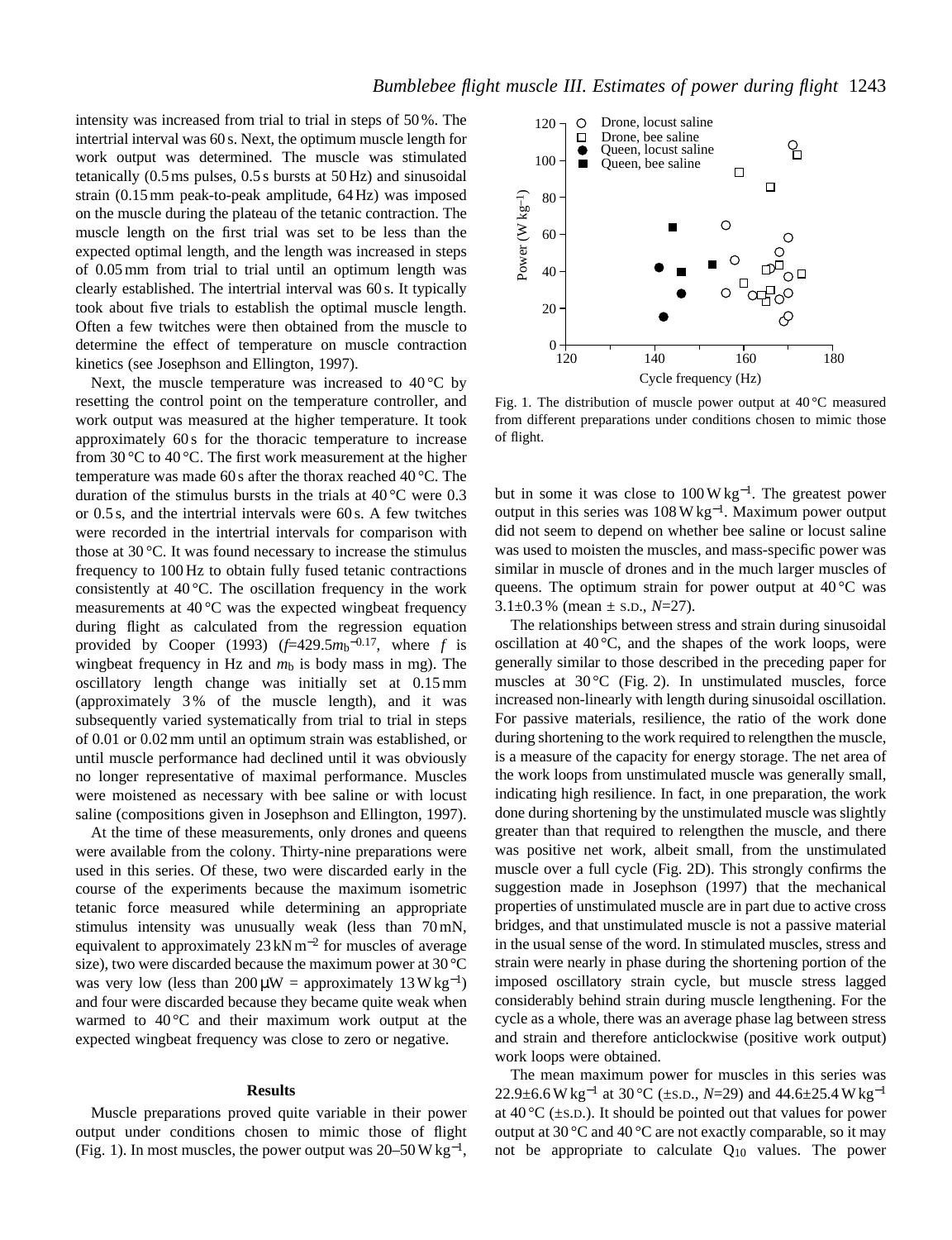intensity was increased from trial to trial in steps of 50%. The intertrial interval was 60 s. Next, the optimum muscle length for work output was determined. The muscle was stimulated tetanically (0.5ms pulses, 0.5 s bursts at 50Hz) and sinusoidal strain (0.15mm peak-to-peak amplitude, 64Hz) was imposed on the muscle during the plateau of the tetanic contraction. The muscle length on the first trial was set to be less than the expected optimal length, and the length was increased in steps of 0.05mm from trial to trial until an optimum length was clearly established. The intertrial interval was 60 s. It typically took about five trials to establish the optimal muscle length. Often a few twitches were then obtained from the muscle to determine the effect of temperature on muscle contraction kinetics (see Josephson and Ellington, 1997).

Next, the muscle temperature was increased to  $40^{\circ}$ C by resetting the control point on the temperature controller, and work output was measured at the higher temperature. It took approximately 60 s for the thoracic temperature to increase from 30 °C to 40 °C. The first work measurement at the higher temperature was made 60 s after the thorax reached 40 °C. The duration of the stimulus bursts in the trials at 40 °C were 0.3 or 0.5 s, and the intertrial intervals were 60 s. A few twitches were recorded in the intertrial intervals for comparison with those at 30 °C. It was found necessary to increase the stimulus frequency to 100 Hz to obtain fully fused tetanic contractions consistently at  $40^{\circ}$ C. The oscillation frequency in the work measurements at  $40^{\circ}$ C was the expected wingbeat frequency during flight as calculated from the regression equation provided by Cooper (1993)  $(f=429.5m_b^{-0.17})$ , where *f* is wingbeat frequency in Hz and *m*b is body mass in mg). The oscillatory length change was initially set at 0.15mm (approximately 3 % of the muscle length), and it was subsequently varied systematically from trial to trial in steps of 0.01 or 0.02mm until an optimum strain was established, or until muscle performance had declined until it was obviously no longer representative of maximal performance. Muscles were moistened as necessary with bee saline or with locust saline (compositions given in Josephson and Ellington, 1997).

At the time of these measurements, only drones and queens were available from the colony. Thirty-nine preparations were used in this series. Of these, two were discarded early in the course of the experiments because the maximum isometric tetanic force measured while determining an appropriate stimulus intensity was unusually weak (less than 70mN, equivalent to approximately 23 kNm−<sup>2</sup> for muscles of average size), two were discarded because the maximum power at  $30^{\circ}$ C was very low (less than  $200\,\mu\text{W}$  = approximately  $13\,\text{Wkg}^{-1}$ ) and four were discarded because they became quite weak when warmed to  $40^{\circ}$ C and their maximum work output at the expected wingbeat frequency was close to zero or negative.

## **Results**

Muscle preparations proved quite variable in their power output under conditions chosen to mimic those of flight (Fig. 1). In most muscles, the power output was  $20-50 \,\text{W}\,\text{kg}^{-1}$ ,



Fig. 1. The distribution of muscle power output at 40 °C measured from different preparations under conditions chosen to mimic those of flight.

but in some it was close to  $100 \text{W kg}^{-1}$ . The greatest power output in this series was 108Wkg<sup>−</sup>1. Maximum power output did not seem to depend on whether bee saline or locust saline was used to moisten the muscles, and mass-specific power was similar in muscle of drones and in the much larger muscles of queens. The optimum strain for power output at  $40^{\circ}$ C was 3.1±0.3 % (mean ± S.D., *N*=27).

The relationships between stress and strain during sinusoidal oscillation at  $40^{\circ}$ C, and the shapes of the work loops, were generally similar to those described in the preceding paper for muscles at  $30^{\circ}$ C (Fig. 2). In unstimulated muscles, force increased non-linearly with length during sinusoidal oscillation. For passive materials, resilience, the ratio of the work done during shortening to the work required to relengthen the muscle, is a measure of the capacity for energy storage. The net area of the work loops from unstimulated muscle was generally small, indicating high resilience. In fact, in one preparation, the work done during shortening by the unstimulated muscle was slightly greater than that required to relengthen the muscle, and there was positive net work, albeit small, from the unstimulated muscle over a full cycle (Fig. 2D). This strongly confirms the suggestion made in Josephson (1997) that the mechanical properties of unstimulated muscle are in part due to active cross bridges, and that unstimulated muscle is not a passive material in the usual sense of the word. In stimulated muscles, stress and strain were nearly in phase during the shortening portion of the imposed oscillatory strain cycle, but muscle stress lagged considerably behind strain during muscle lengthening. For the cycle as a whole, there was an average phase lag between stress and strain and therefore anticlockwise (positive work output) work loops were obtained.

The mean maximum power for muscles in this series was 22.9±6.6Wkg<sup>-1</sup> at 30 °C (±s.p., *N*=29) and 44.6±25.4Wkg<sup>-1</sup> at  $40^{\circ}$ C ( $\pm$ s.D.). It should be pointed out that values for power output at 30 °C and 40 °C are not exactly comparable, so it may not be appropriate to calculate Q10 values. The power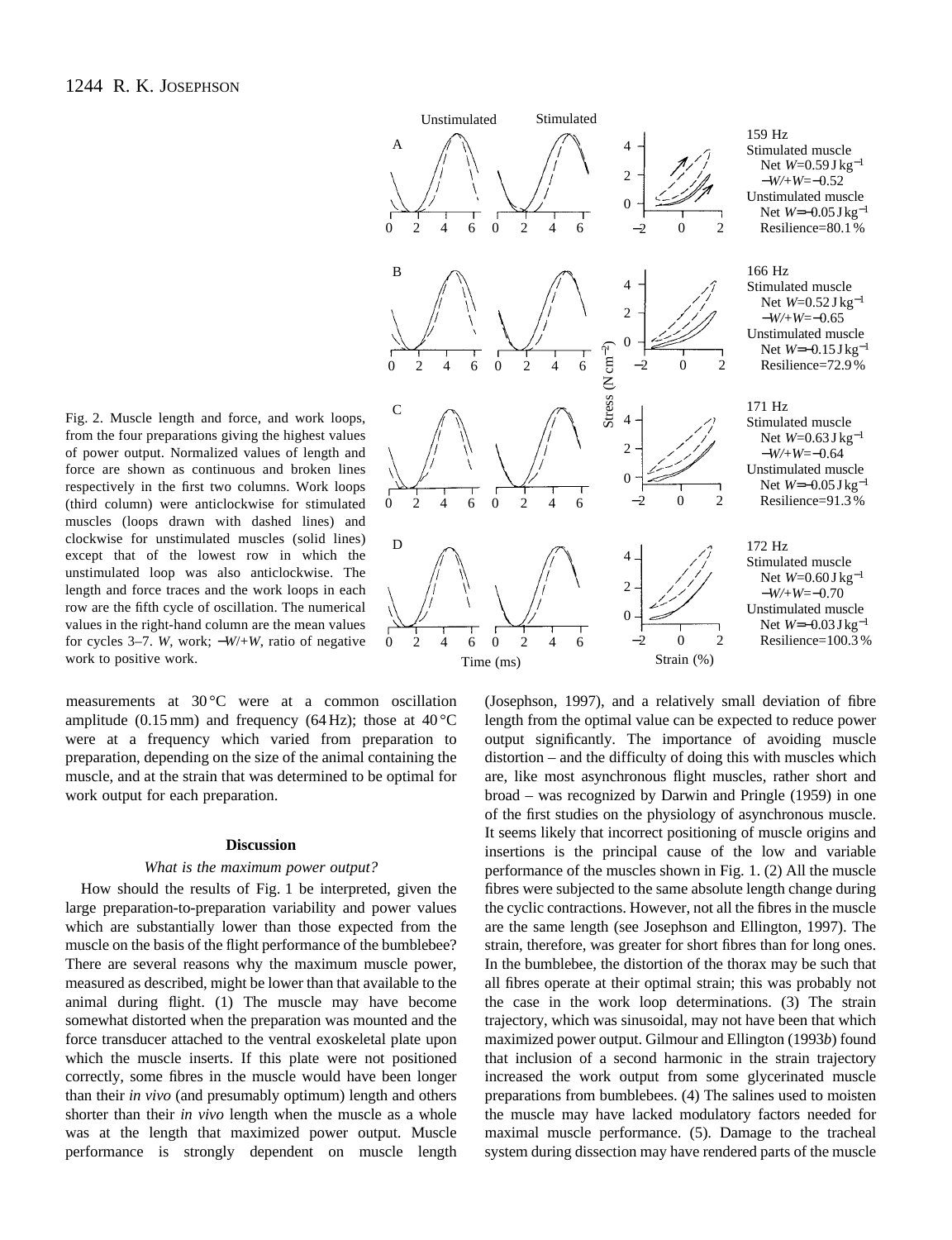Fig. 2. Muscle length and force, and work loops, from the four preparations giving the highest values of power output. Normalized values of length and force are shown as continuous and broken lines respectively in the first two columns. Work loops (third column) were anticlockwise for stimulated muscles (loops drawn with dashed lines) and clockwise for unstimulated muscles (solid lines) except that of the lowest row in which the unstimulated loop was also anticlockwise. The length and force traces and the work loops in each row are the fifth cycle of oscillation. The numerical values in the right-hand column are the mean values for cycles 3–7. *W*, work; −*W*/+*W*, ratio of negative work to positive work.

measurements at 30 °C were at a common oscillation amplitude (0.15 mm) and frequency (64 Hz); those at  $40^{\circ}$ C were at a frequency which varied from preparation to preparation, depending on the size of the animal containing the muscle, and at the strain that was determined to be optimal for work output for each preparation.

### **Discussion**

#### *What is the maximum power output?*

How should the results of Fig. 1 be interpreted, given the large preparation-to-preparation variability and power values which are substantially lower than those expected from the muscle on the basis of the flight performance of the bumblebee? There are several reasons why the maximum muscle power, measured as described, might be lower than that available to the animal during flight. (1) The muscle may have become somewhat distorted when the preparation was mounted and the force transducer attached to the ventral exoskeletal plate upon which the muscle inserts. If this plate were not positioned correctly, some fibres in the muscle would have been longer than their *in vivo* (and presumably optimum) length and others shorter than their *in vivo* length when the muscle as a whole was at the length that maximized power output. Muscle performance is strongly dependent on muscle length



(Josephson, 1997), and a relatively small deviation of fibre length from the optimal value can be expected to reduce power output significantly. The importance of avoiding muscle distortion – and the difficulty of doing this with muscles which are, like most asynchronous flight muscles, rather short and broad – was recognized by Darwin and Pringle (1959) in one of the first studies on the physiology of asynchronous muscle. It seems likely that incorrect positioning of muscle origins and insertions is the principal cause of the low and variable performance of the muscles shown in Fig. 1. (2) All the muscle fibres were subjected to the same absolute length change during the cyclic contractions. However, not all the fibres in the muscle are the same length (see Josephson and Ellington, 1997). The strain, therefore, was greater for short fibres than for long ones. In the bumblebee, the distortion of the thorax may be such that all fibres operate at their optimal strain; this was probably not the case in the work loop determinations. (3) The strain trajectory, which was sinusoidal, may not have been that which maximized power output. Gilmour and Ellington (1993*b*) found that inclusion of a second harmonic in the strain trajectory increased the work output from some glycerinated muscle preparations from bumblebees. (4) The salines used to moisten the muscle may have lacked modulatory factors needed for maximal muscle performance. (5). Damage to the tracheal system during dissection may have rendered parts of the muscle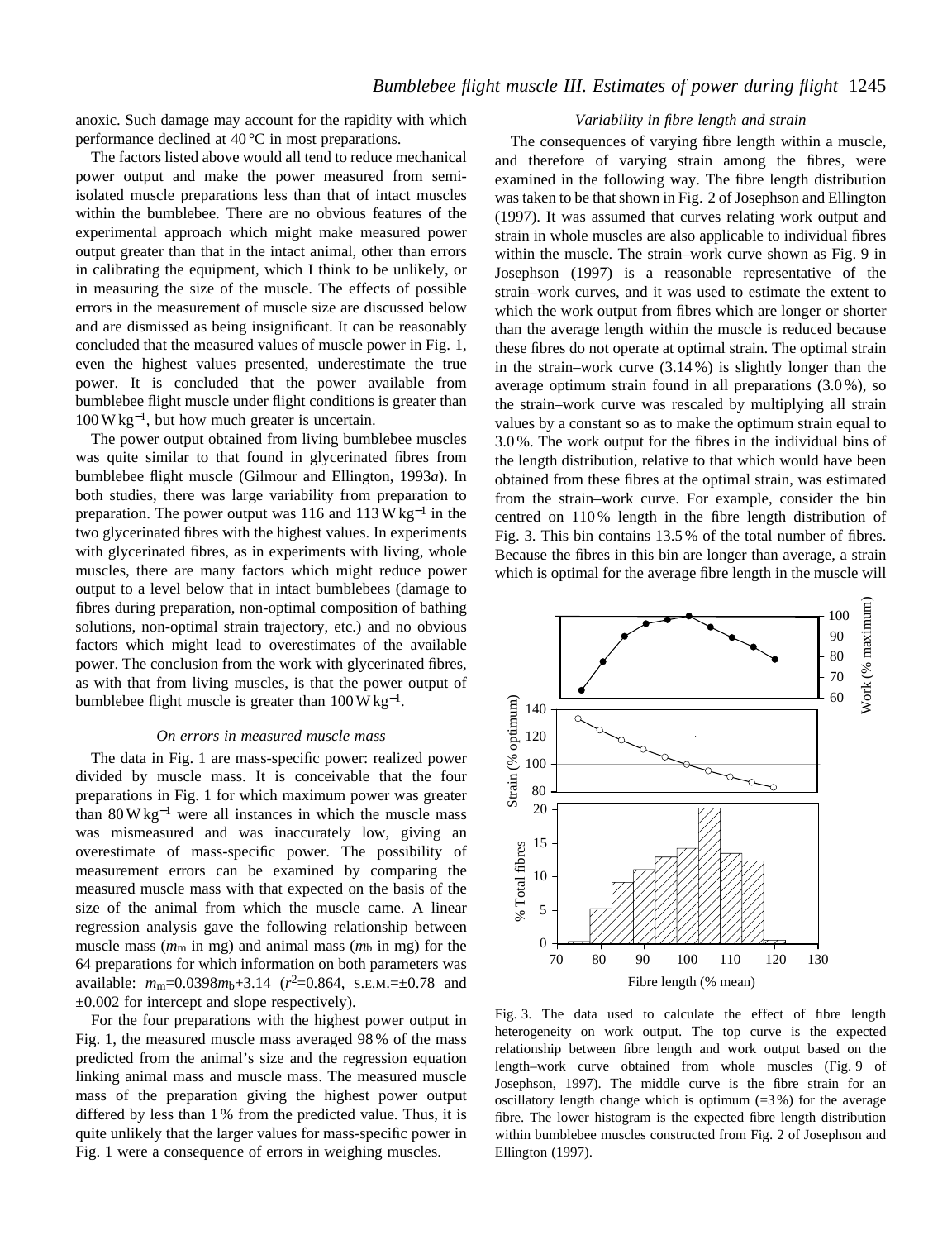anoxic. Such damage may account for the rapidity with which performance declined at 40 °C in most preparations.

The factors listed above would all tend to reduce mechanical power output and make the power measured from semiisolated muscle preparations less than that of intact muscles within the bumblebee. There are no obvious features of the experimental approach which might make measured power output greater than that in the intact animal, other than errors in calibrating the equipment, which I think to be unlikely, or in measuring the size of the muscle. The effects of possible errors in the measurement of muscle size are discussed below and are dismissed as being insignificant. It can be reasonably concluded that the measured values of muscle power in Fig. 1, even the highest values presented, underestimate the true power. It is concluded that the power available from bumblebee flight muscle under flight conditions is greater than  $100 \,\mathrm{W} \,\mathrm{kg}^{-1}$ , but how much greater is uncertain.

The power output obtained from living bumblebee muscles was quite similar to that found in glycerinated fibres from bumblebee flight muscle (Gilmour and Ellington, 1993*a*). In both studies, there was large variability from preparation to preparation. The power output was 116 and 113Wkg−<sup>1</sup> in the two glycerinated fibres with the highest values. In experiments with glycerinated fibres, as in experiments with living, whole muscles, there are many factors which might reduce power output to a level below that in intact bumblebees (damage to fibres during preparation, non-optimal composition of bathing solutions, non-optimal strain trajectory, etc.) and no obvious factors which might lead to overestimates of the available power. The conclusion from the work with glycerinated fibres, as with that from living muscles, is that the power output of bumblebee flight muscle is greater than  $100 \,\text{W}\,\text{kg}^{-1}$ .

## *On errors in measured muscle mass*

The data in Fig. 1 are mass-specific power: realized power divided by muscle mass. It is conceivable that the four preparations in Fig. 1 for which maximum power was greater than  $80Wkg^{-1}$  were all instances in which the muscle mass was mismeasured and was inaccurately low, giving an overestimate of mass-specific power. The possibility of measurement errors can be examined by comparing the measured muscle mass with that expected on the basis of the size of the animal from which the muscle came. A linear regression analysis gave the following relationship between muscle mass (*m*m in mg) and animal mass (*m*b in mg) for the 64 preparations for which information on both parameters was available: *m*m=0.0398*m*b+3.14 (*r*2=0.864, S.E.M.=±0.78 and  $\pm 0.002$  for intercept and slope respectively).

For the four preparations with the highest power output in Fig. 1, the measured muscle mass averaged 98 % of the mass predicted from the animal's size and the regression equation linking animal mass and muscle mass. The measured muscle mass of the preparation giving the highest power output differed by less than 1 % from the predicted value. Thus, it is quite unlikely that the larger values for mass-specific power in Fig. 1 were a consequence of errors in weighing muscles.

## *Variability in fibre length and strain*

The consequences of varying fibre length within a muscle, and therefore of varying strain among the fibres, were examined in the following way. The fibre length distribution was taken to be that shown in Fig. 2 of Josephson and Ellington (1997). It was assumed that curves relating work output and strain in whole muscles are also applicable to individual fibres within the muscle. The strain–work curve shown as Fig. 9 in Josephson (1997) is a reasonable representative of the strain–work curves, and it was used to estimate the extent to which the work output from fibres which are longer or shorter than the average length within the muscle is reduced because these fibres do not operate at optimal strain. The optimal strain in the strain–work curve (3.14 %) is slightly longer than the average optimum strain found in all preparations (3.0 %), so the strain–work curve was rescaled by multiplying all strain values by a constant so as to make the optimum strain equal to 3.0 %. The work output for the fibres in the individual bins of the length distribution, relative to that which would have been obtained from these fibres at the optimal strain, was estimated from the strain–work curve. For example, consider the bin centred on 110 % length in the fibre length distribution of Fig. 3. This bin contains 13.5 % of the total number of fibres. Because the fibres in this bin are longer than average, a strain which is optimal for the average fibre length in the muscle will



Fig. 3. The data used to calculate the effect of fibre length heterogeneity on work output. The top curve is the expected relationship between fibre length and work output based on the length–work curve obtained from whole muscles (Fig. 9 of Josephson, 1997). The middle curve is the fibre strain for an oscillatory length change which is optimum  $(=3\%)$  for the average fibre. The lower histogram is the expected fibre length distribution within bumblebee muscles constructed from Fig. 2 of Josephson and Ellington (1997).